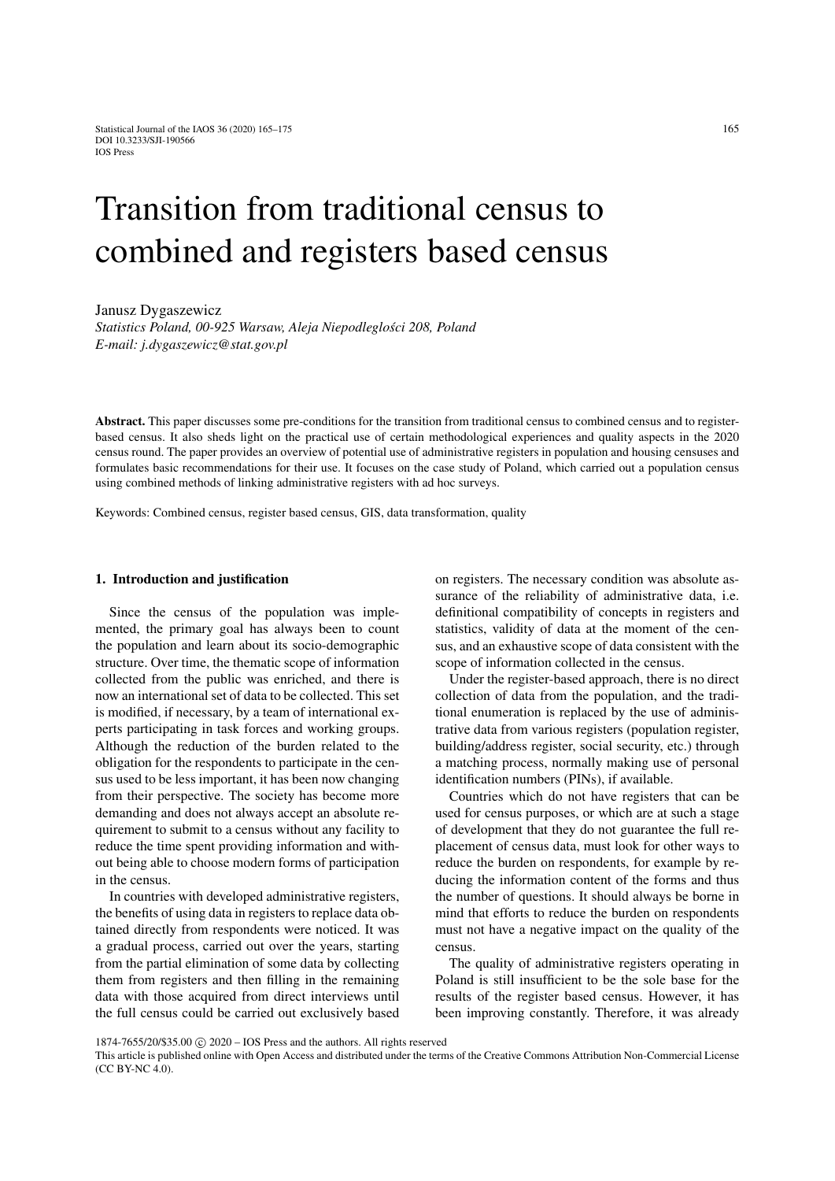# Transition from traditional census to combined and registers based census

Janusz Dygaszewicz

*Statistics Poland, 00-925 Warsaw, Aleja Niepodleglosci 208, Poland ´ E-mail: j.dygaszewicz@stat.gov.pl*

Abstract. This paper discusses some pre-conditions for the transition from traditional census to combined census and to registerbased census. It also sheds light on the practical use of certain methodological experiences and quality aspects in the 2020 census round. The paper provides an overview of potential use of administrative registers in population and housing censuses and formulates basic recommendations for their use. It focuses on the case study of Poland, which carried out a population census using combined methods of linking administrative registers with ad hoc surveys.

Keywords: Combined census, register based census, GIS, data transformation, quality

#### 1. Introduction and justification

Since the census of the population was implemented, the primary goal has always been to count the population and learn about its socio-demographic structure. Over time, the thematic scope of information collected from the public was enriched, and there is now an international set of data to be collected. This set is modified, if necessary, by a team of international experts participating in task forces and working groups. Although the reduction of the burden related to the obligation for the respondents to participate in the census used to be less important, it has been now changing from their perspective. The society has become more demanding and does not always accept an absolute requirement to submit to a census without any facility to reduce the time spent providing information and without being able to choose modern forms of participation in the census.

In countries with developed administrative registers, the benefits of using data in registers to replace data obtained directly from respondents were noticed. It was a gradual process, carried out over the years, starting from the partial elimination of some data by collecting them from registers and then filling in the remaining data with those acquired from direct interviews until the full census could be carried out exclusively based

on registers. The necessary condition was absolute assurance of the reliability of administrative data, i.e. definitional compatibility of concepts in registers and statistics, validity of data at the moment of the census, and an exhaustive scope of data consistent with the scope of information collected in the census.

Under the register-based approach, there is no direct collection of data from the population, and the traditional enumeration is replaced by the use of administrative data from various registers (population register, building/address register, social security, etc.) through a matching process, normally making use of personal identification numbers (PINs), if available.

Countries which do not have registers that can be used for census purposes, or which are at such a stage of development that they do not guarantee the full replacement of census data, must look for other ways to reduce the burden on respondents, for example by reducing the information content of the forms and thus the number of questions. It should always be borne in mind that efforts to reduce the burden on respondents must not have a negative impact on the quality of the census.

The quality of administrative registers operating in Poland is still insufficient to be the sole base for the results of the register based census. However, it has been improving constantly. Therefore, it was already

<sup>1874-7655/20/\$35.00</sup> c 2020 – IOS Press and the authors. All rights reserved

This article is published online with Open Access and distributed under the terms of the Creative Commons Attribution Non-Commercial License (CC BY-NC 4.0).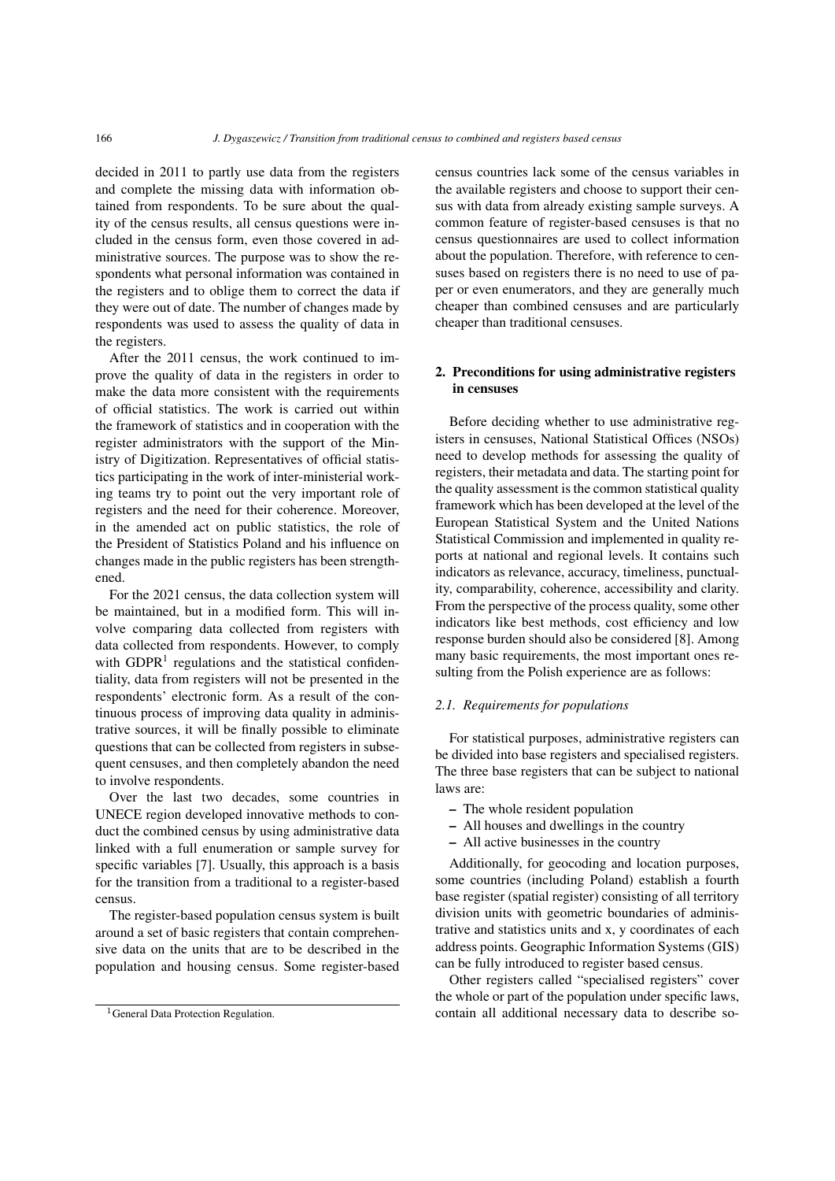decided in 2011 to partly use data from the registers and complete the missing data with information obtained from respondents. To be sure about the quality of the census results, all census questions were included in the census form, even those covered in administrative sources. The purpose was to show the respondents what personal information was contained in the registers and to oblige them to correct the data if they were out of date. The number of changes made by respondents was used to assess the quality of data in the registers.

After the 2011 census, the work continued to improve the quality of data in the registers in order to make the data more consistent with the requirements of official statistics. The work is carried out within the framework of statistics and in cooperation with the register administrators with the support of the Ministry of Digitization. Representatives of official statistics participating in the work of inter-ministerial working teams try to point out the very important role of registers and the need for their coherence. Moreover, in the amended act on public statistics, the role of the President of Statistics Poland and his influence on changes made in the public registers has been strengthened.

For the 2021 census, the data collection system will be maintained, but in a modified form. This will involve comparing data collected from registers with data collected from respondents. However, to comply with GDPR<sup>[1](#page-1-0)</sup> regulations and the statistical confidentiality, data from registers will not be presented in the respondents' electronic form. As a result of the continuous process of improving data quality in administrative sources, it will be finally possible to eliminate questions that can be collected from registers in subsequent censuses, and then completely abandon the need to involve respondents.

Over the last two decades, some countries in UNECE region developed innovative methods to conduct the combined census by using administrative data linked with a full enumeration or sample survey for specific variables [\[7\]](#page-10-0). Usually, this approach is a basis for the transition from a traditional to a register-based census.

The register-based population census system is built around a set of basic registers that contain comprehensive data on the units that are to be described in the population and housing census. Some register-based census countries lack some of the census variables in the available registers and choose to support their census with data from already existing sample surveys. A common feature of register-based censuses is that no census questionnaires are used to collect information about the population. Therefore, with reference to censuses based on registers there is no need to use of paper or even enumerators, and they are generally much cheaper than combined censuses and are particularly cheaper than traditional censuses.

## 2. Preconditions for using administrative registers in censuses

Before deciding whether to use administrative registers in censuses, National Statistical Offices (NSOs) need to develop methods for assessing the quality of registers, their metadata and data. The starting point for the quality assessment is the common statistical quality framework which has been developed at the level of the European Statistical System and the United Nations Statistical Commission and implemented in quality reports at national and regional levels. It contains such indicators as relevance, accuracy, timeliness, punctuality, comparability, coherence, accessibility and clarity. From the perspective of the process quality, some other indicators like best methods, cost efficiency and low response burden should also be considered [\[8\]](#page-10-1). Among many basic requirements, the most important ones resulting from the Polish experience are as follows:

#### *2.1. Requirements for populations*

For statistical purposes, administrative registers can be divided into base registers and specialised registers. The three base registers that can be subject to national laws are:

- The whole resident population
- All houses and dwellings in the country
- All active businesses in the country

Additionally, for geocoding and location purposes, some countries (including Poland) establish a fourth base register (spatial register) consisting of all territory division units with geometric boundaries of administrative and statistics units and x, y coordinates of each address points. Geographic Information Systems (GIS) can be fully introduced to register based census.

Other registers called "specialised registers" cover the whole or part of the population under specific laws, contain all additional necessary data to describe so-

<span id="page-1-0"></span><sup>&</sup>lt;sup>1</sup> General Data Protection Regulation.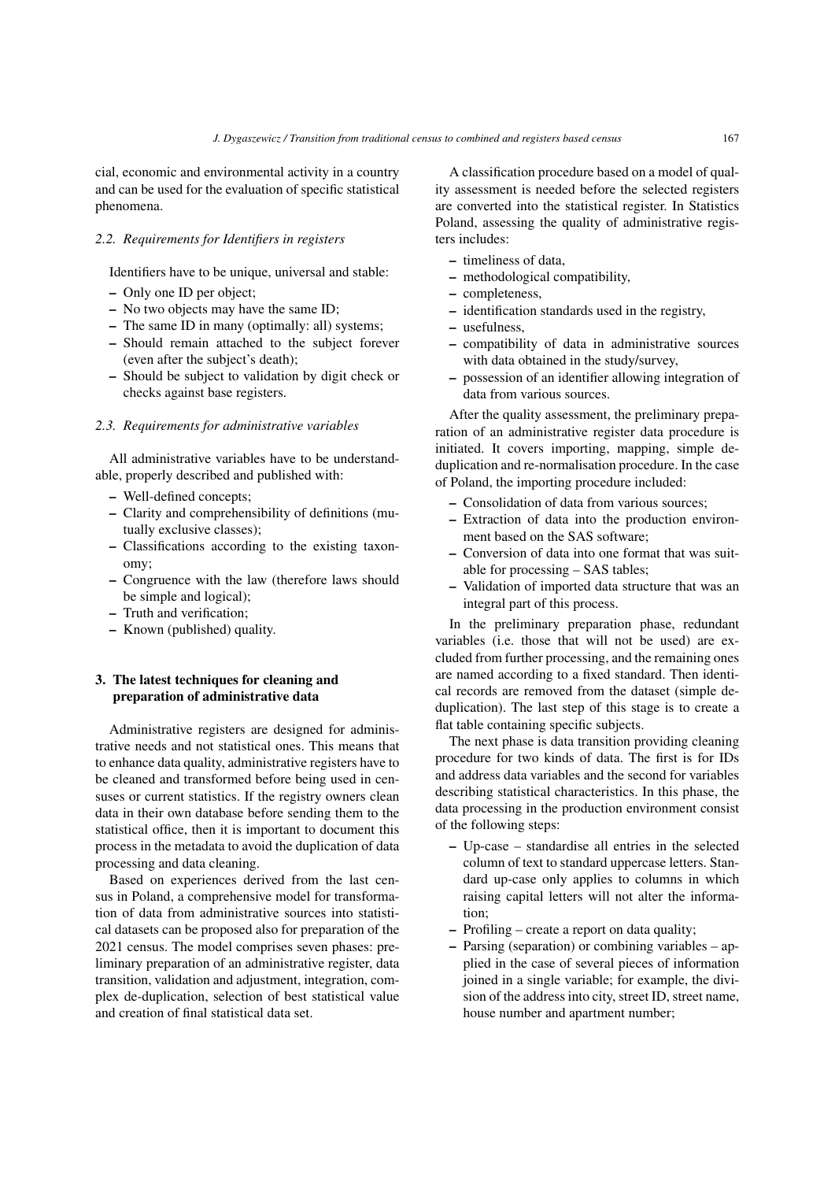cial, economic and environmental activity in a country and can be used for the evaluation of specific statistical phenomena.

#### *2.2. Requirements for Identifiers in registers*

Identifiers have to be unique, universal and stable:

- Only one ID per object;
- No two objects may have the same ID;
- The same ID in many (optimally: all) systems;
- Should remain attached to the subject forever (even after the subject's death);
- Should be subject to validation by digit check or checks against base registers.

## *2.3. Requirements for administrative variables*

All administrative variables have to be understandable, properly described and published with:

- Well-defined concepts;
- Clarity and comprehensibility of definitions (mutually exclusive classes);
- Classifications according to the existing taxonomy;
- Congruence with the law (therefore laws should be simple and logical);
- Truth and verification;
- Known (published) quality.

# 3. The latest techniques for cleaning and preparation of administrative data

Administrative registers are designed for administrative needs and not statistical ones. This means that to enhance data quality, administrative registers have to be cleaned and transformed before being used in censuses or current statistics. If the registry owners clean data in their own database before sending them to the statistical office, then it is important to document this process in the metadata to avoid the duplication of data processing and data cleaning.

Based on experiences derived from the last census in Poland, a comprehensive model for transformation of data from administrative sources into statistical datasets can be proposed also for preparation of the 2021 census. The model comprises seven phases: preliminary preparation of an administrative register, data transition, validation and adjustment, integration, complex de-duplication, selection of best statistical value and creation of final statistical data set.

A classification procedure based on a model of quality assessment is needed before the selected registers are converted into the statistical register. In Statistics Poland, assessing the quality of administrative registers includes:

- timeliness of data,
- methodological compatibility,
- completeness,
- identification standards used in the registry,
- usefulness, – compatibility of data in administrative sources with data obtained in the study/survey,
- possession of an identifier allowing integration of data from various sources.

After the quality assessment, the preliminary preparation of an administrative register data procedure is initiated. It covers importing, mapping, simple deduplication and re-normalisation procedure. In the case of Poland, the importing procedure included:

- Consolidation of data from various sources;
- Extraction of data into the production environment based on the SAS software;
- Conversion of data into one format that was suitable for processing – SAS tables;
- Validation of imported data structure that was an integral part of this process.

In the preliminary preparation phase, redundant variables (i.e. those that will not be used) are excluded from further processing, and the remaining ones are named according to a fixed standard. Then identical records are removed from the dataset (simple deduplication). The last step of this stage is to create a flat table containing specific subjects.

The next phase is data transition providing cleaning procedure for two kinds of data. The first is for IDs and address data variables and the second for variables describing statistical characteristics. In this phase, the data processing in the production environment consist of the following steps:

- Up-case standardise all entries in the selected column of text to standard uppercase letters. Standard up-case only applies to columns in which raising capital letters will not alter the information;
- Profiling create a report on data quality;
- Parsing (separation) or combining variables applied in the case of several pieces of information joined in a single variable; for example, the division of the address into city, street ID, street name, house number and apartment number;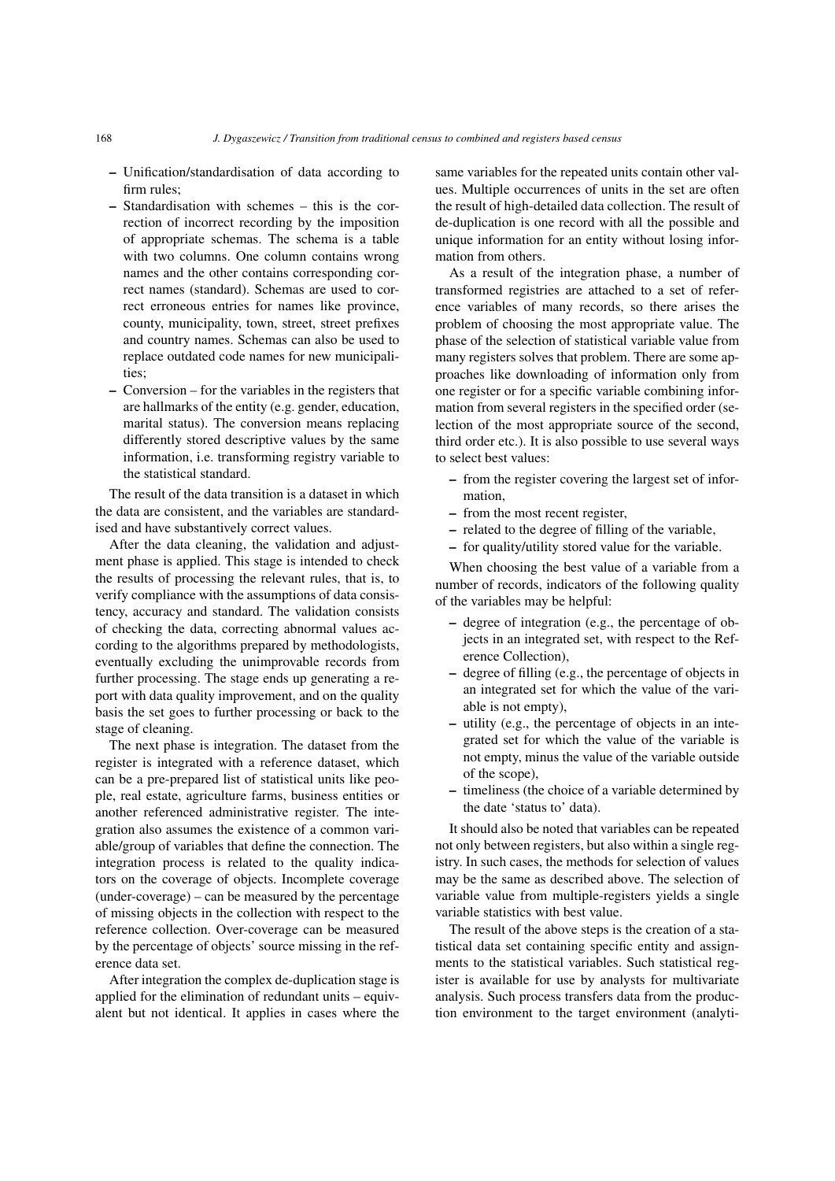- Unification/standardisation of data according to firm rules;
- Standardisation with schemes this is the correction of incorrect recording by the imposition of appropriate schemas. The schema is a table with two columns. One column contains wrong names and the other contains corresponding correct names (standard). Schemas are used to correct erroneous entries for names like province, county, municipality, town, street, street prefixes and country names. Schemas can also be used to replace outdated code names for new municipalities;
- Conversion for the variables in the registers that are hallmarks of the entity (e.g. gender, education, marital status). The conversion means replacing differently stored descriptive values by the same information, i.e. transforming registry variable to the statistical standard.

The result of the data transition is a dataset in which the data are consistent, and the variables are standardised and have substantively correct values.

After the data cleaning, the validation and adjustment phase is applied. This stage is intended to check the results of processing the relevant rules, that is, to verify compliance with the assumptions of data consistency, accuracy and standard. The validation consists of checking the data, correcting abnormal values according to the algorithms prepared by methodologists, eventually excluding the unimprovable records from further processing. The stage ends up generating a report with data quality improvement, and on the quality basis the set goes to further processing or back to the stage of cleaning.

The next phase is integration. The dataset from the register is integrated with a reference dataset, which can be a pre-prepared list of statistical units like people, real estate, agriculture farms, business entities or another referenced administrative register. The integration also assumes the existence of a common variable/group of variables that define the connection. The integration process is related to the quality indicators on the coverage of objects. Incomplete coverage (under-coverage) – can be measured by the percentage of missing objects in the collection with respect to the reference collection. Over-coverage can be measured by the percentage of objects' source missing in the reference data set.

After integration the complex de-duplication stage is applied for the elimination of redundant units – equivalent but not identical. It applies in cases where the same variables for the repeated units contain other values. Multiple occurrences of units in the set are often the result of high-detailed data collection. The result of de-duplication is one record with all the possible and unique information for an entity without losing information from others.

As a result of the integration phase, a number of transformed registries are attached to a set of reference variables of many records, so there arises the problem of choosing the most appropriate value. The phase of the selection of statistical variable value from many registers solves that problem. There are some approaches like downloading of information only from one register or for a specific variable combining information from several registers in the specified order (selection of the most appropriate source of the second, third order etc.). It is also possible to use several ways to select best values:

- from the register covering the largest set of information,
- from the most recent register,
- related to the degree of filling of the variable,
- for quality/utility stored value for the variable.

When choosing the best value of a variable from a number of records, indicators of the following quality of the variables may be helpful:

- degree of integration (e.g., the percentage of objects in an integrated set, with respect to the Reference Collection),
- degree of filling (e.g., the percentage of objects in an integrated set for which the value of the variable is not empty),
- utility (e.g., the percentage of objects in an integrated set for which the value of the variable is not empty, minus the value of the variable outside of the scope),
- timeliness (the choice of a variable determined by the date 'status to' data).

It should also be noted that variables can be repeated not only between registers, but also within a single registry. In such cases, the methods for selection of values may be the same as described above. The selection of variable value from multiple-registers yields a single variable statistics with best value.

The result of the above steps is the creation of a statistical data set containing specific entity and assignments to the statistical variables. Such statistical register is available for use by analysts for multivariate analysis. Such process transfers data from the production environment to the target environment (analyti-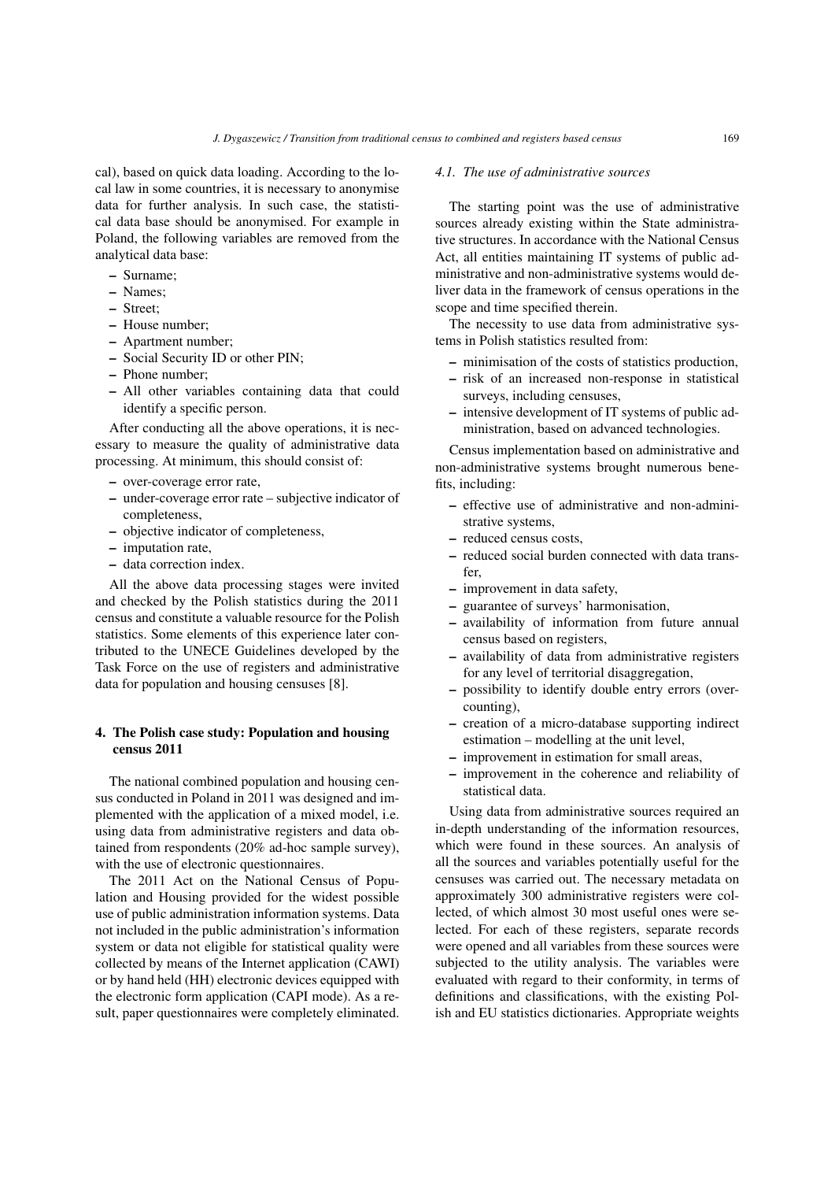cal), based on quick data loading. According to the local law in some countries, it is necessary to anonymise data for further analysis. In such case, the statistical data base should be anonymised. For example in Poland, the following variables are removed from the analytical data base:

- Surname;
- Names;
- Street;
- House number;
- Apartment number;
- Social Security ID or other PIN;
- Phone number;
- All other variables containing data that could identify a specific person.

After conducting all the above operations, it is necessary to measure the quality of administrative data processing. At minimum, this should consist of:

- over-coverage error rate,
- under-coverage error rate subjective indicator of completeness,
- objective indicator of completeness,
- imputation rate,
- data correction index.

All the above data processing stages were invited and checked by the Polish statistics during the 2011 census and constitute a valuable resource for the Polish statistics. Some elements of this experience later contributed to the UNECE Guidelines developed by the Task Force on the use of registers and administrative data for population and housing censuses [\[8\]](#page-10-1).

# 4. The Polish case study: Population and housing census 2011

The national combined population and housing census conducted in Poland in 2011 was designed and implemented with the application of a mixed model, i.e. using data from administrative registers and data obtained from respondents (20% ad-hoc sample survey), with the use of electronic questionnaires.

The 2011 Act on the National Census of Population and Housing provided for the widest possible use of public administration information systems. Data not included in the public administration's information system or data not eligible for statistical quality were collected by means of the Internet application (CAWI) or by hand held (HH) electronic devices equipped with the electronic form application (CAPI mode). As a result, paper questionnaires were completely eliminated.

#### *4.1. The use of administrative sources*

The starting point was the use of administrative sources already existing within the State administrative structures. In accordance with the National Census Act, all entities maintaining IT systems of public administrative and non-administrative systems would deliver data in the framework of census operations in the scope and time specified therein.

The necessity to use data from administrative systems in Polish statistics resulted from:

- minimisation of the costs of statistics production,
- risk of an increased non-response in statistical surveys, including censuses,
- intensive development of IT systems of public administration, based on advanced technologies.

Census implementation based on administrative and non-administrative systems brought numerous benefits, including:

- effective use of administrative and non-administrative systems,
- reduced census costs,
- reduced social burden connected with data transfer
- improvement in data safety,
- guarantee of surveys' harmonisation,
- availability of information from future annual census based on registers,
- availability of data from administrative registers for any level of territorial disaggregation,
- possibility to identify double entry errors (overcounting),
- creation of a micro-database supporting indirect estimation – modelling at the unit level,
- improvement in estimation for small areas,
- improvement in the coherence and reliability of statistical data.

Using data from administrative sources required an in-depth understanding of the information resources, which were found in these sources. An analysis of all the sources and variables potentially useful for the censuses was carried out. The necessary metadata on approximately 300 administrative registers were collected, of which almost 30 most useful ones were selected. For each of these registers, separate records were opened and all variables from these sources were subjected to the utility analysis. The variables were evaluated with regard to their conformity, in terms of definitions and classifications, with the existing Polish and EU statistics dictionaries. Appropriate weights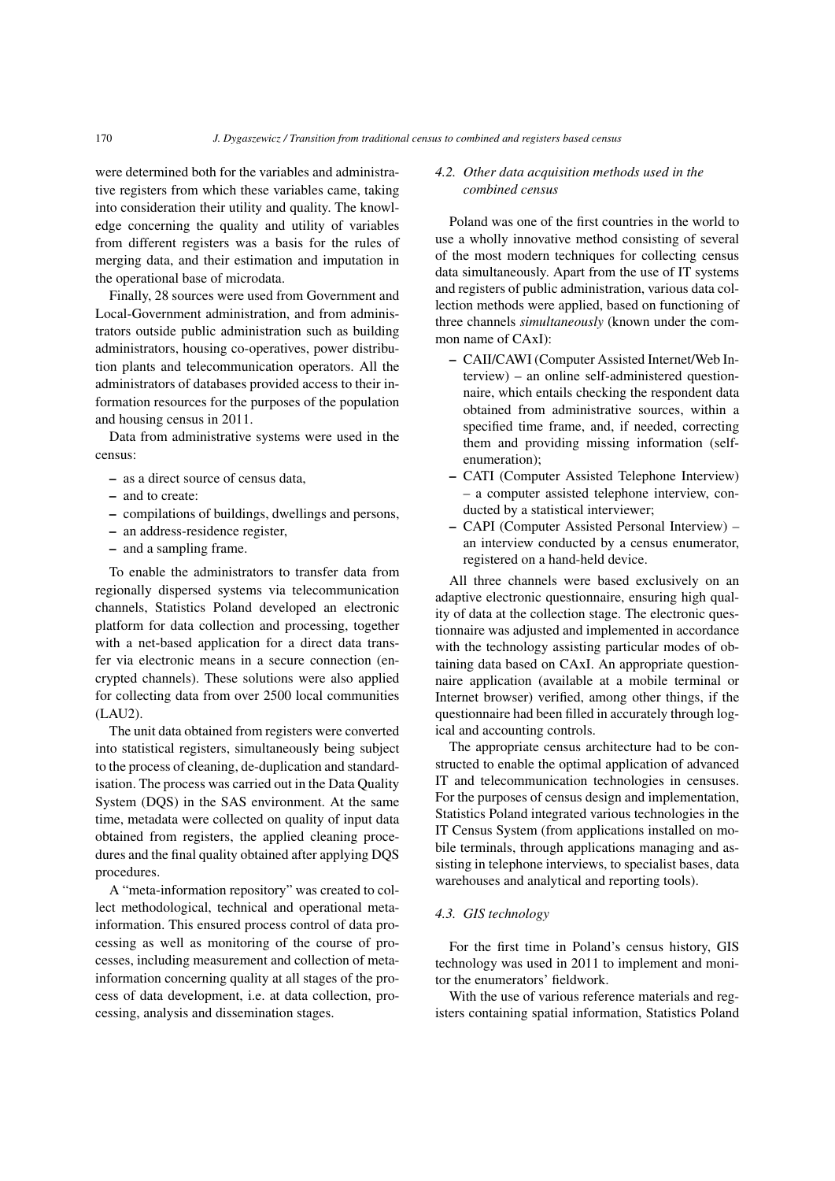were determined both for the variables and administrative registers from which these variables came, taking into consideration their utility and quality. The knowledge concerning the quality and utility of variables from different registers was a basis for the rules of merging data, and their estimation and imputation in the operational base of microdata.

Finally, 28 sources were used from Government and Local-Government administration, and from administrators outside public administration such as building administrators, housing co-operatives, power distribution plants and telecommunication operators. All the administrators of databases provided access to their information resources for the purposes of the population and housing census in 2011.

Data from administrative systems were used in the census:

- as a direct source of census data,
- and to create:
- compilations of buildings, dwellings and persons,
- an address-residence register,
- and a sampling frame.

To enable the administrators to transfer data from regionally dispersed systems via telecommunication channels, Statistics Poland developed an electronic platform for data collection and processing, together with a net-based application for a direct data transfer via electronic means in a secure connection (encrypted channels). These solutions were also applied for collecting data from over 2500 local communities (LAU2).

The unit data obtained from registers were converted into statistical registers, simultaneously being subject to the process of cleaning, de-duplication and standardisation. The process was carried out in the Data Quality System (DQS) in the SAS environment. At the same time, metadata were collected on quality of input data obtained from registers, the applied cleaning procedures and the final quality obtained after applying DQS procedures.

A "meta-information repository" was created to collect methodological, technical and operational metainformation. This ensured process control of data processing as well as monitoring of the course of processes, including measurement and collection of metainformation concerning quality at all stages of the process of data development, i.e. at data collection, processing, analysis and dissemination stages.

#### *4.2. Other data acquisition methods used in the combined census*

Poland was one of the first countries in the world to use a wholly innovative method consisting of several of the most modern techniques for collecting census data simultaneously. Apart from the use of IT systems and registers of public administration, various data collection methods were applied, based on functioning of three channels *simultaneously* (known under the common name of CAxI):

- CAII/CAWI (Computer Assisted Internet/Web Interview) – an online self-administered questionnaire, which entails checking the respondent data obtained from administrative sources, within a specified time frame, and, if needed, correcting them and providing missing information (selfenumeration);
- CATI (Computer Assisted Telephone Interview) – a computer assisted telephone interview, conducted by a statistical interviewer;
- CAPI (Computer Assisted Personal Interview) an interview conducted by a census enumerator, registered on a hand-held device.

All three channels were based exclusively on an adaptive electronic questionnaire, ensuring high quality of data at the collection stage. The electronic questionnaire was adjusted and implemented in accordance with the technology assisting particular modes of obtaining data based on CAxI. An appropriate questionnaire application (available at a mobile terminal or Internet browser) verified, among other things, if the questionnaire had been filled in accurately through logical and accounting controls.

The appropriate census architecture had to be constructed to enable the optimal application of advanced IT and telecommunication technologies in censuses. For the purposes of census design and implementation, Statistics Poland integrated various technologies in the IT Census System (from applications installed on mobile terminals, through applications managing and assisting in telephone interviews, to specialist bases, data warehouses and analytical and reporting tools).

#### *4.3. GIS technology*

For the first time in Poland's census history, GIS technology was used in 2011 to implement and monitor the enumerators' fieldwork.

With the use of various reference materials and registers containing spatial information, Statistics Poland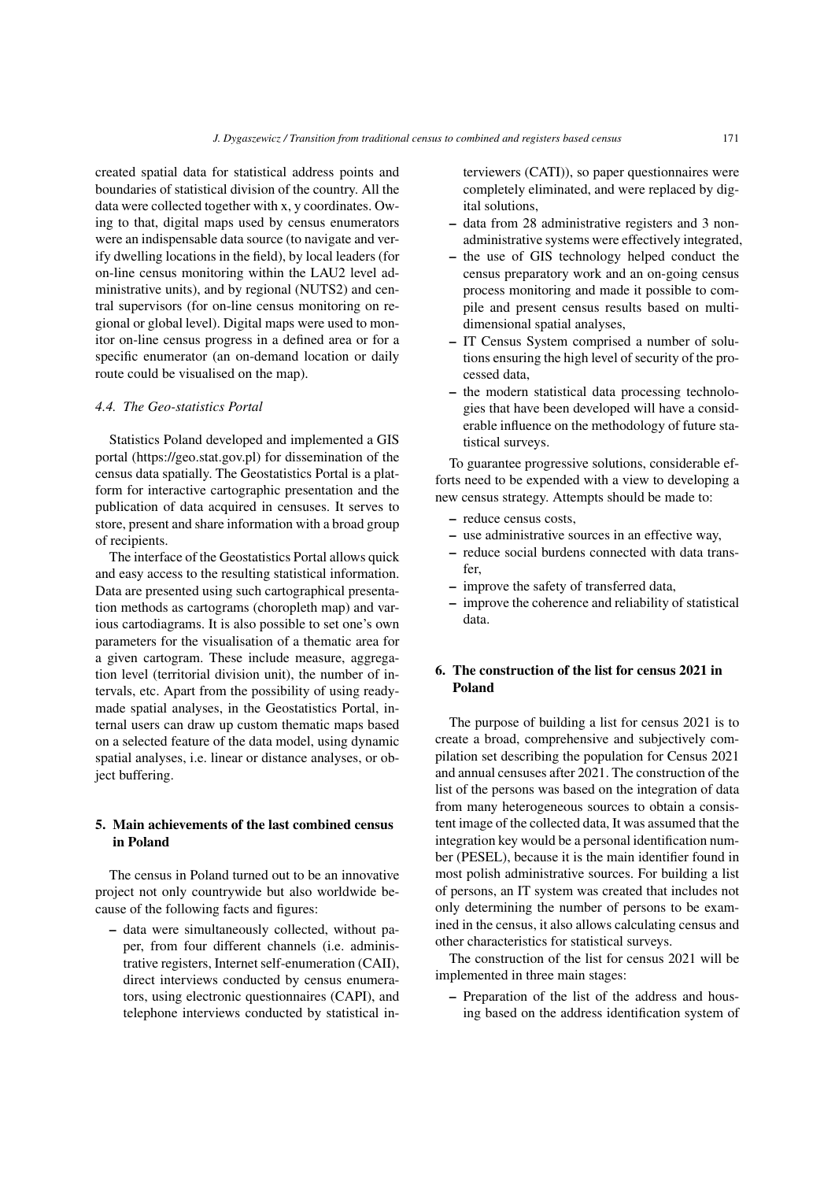created spatial data for statistical address points and boundaries of statistical division of the country. All the data were collected together with x, y coordinates. Owing to that, digital maps used by census enumerators were an indispensable data source (to navigate and verify dwelling locations in the field), by local leaders (for on-line census monitoring within the LAU2 level administrative units), and by regional (NUTS2) and central supervisors (for on-line census monitoring on regional or global level). Digital maps were used to monitor on-line census progress in a defined area or for a specific enumerator (an on-demand location or daily route could be visualised on the map).

#### *4.4. The Geo-statistics Portal*

Statistics Poland developed and implemented a GIS portal (https://geo.stat.gov.pl) for dissemination of the census data spatially. The Geostatistics Portal is a platform for interactive cartographic presentation and the publication of data acquired in censuses. It serves to store, present and share information with a broad group of recipients.

The interface of the Geostatistics Portal allows quick and easy access to the resulting statistical information. Data are presented using such cartographical presentation methods as cartograms (choropleth map) and various cartodiagrams. It is also possible to set one's own parameters for the visualisation of a thematic area for a given cartogram. These include measure, aggregation level (territorial division unit), the number of intervals, etc. Apart from the possibility of using readymade spatial analyses, in the Geostatistics Portal, internal users can draw up custom thematic maps based on a selected feature of the data model, using dynamic spatial analyses, i.e. linear or distance analyses, or object buffering.

## 5. Main achievements of the last combined census in Poland

The census in Poland turned out to be an innovative project not only countrywide but also worldwide because of the following facts and figures:

– data were simultaneously collected, without paper, from four different channels (i.e. administrative registers, Internet self-enumeration (CAII), direct interviews conducted by census enumerators, using electronic questionnaires (CAPI), and telephone interviews conducted by statistical interviewers (CATI)), so paper questionnaires were completely eliminated, and were replaced by digital solutions,

- data from 28 administrative registers and 3 nonadministrative systems were effectively integrated,
- the use of GIS technology helped conduct the census preparatory work and an on-going census process monitoring and made it possible to compile and present census results based on multidimensional spatial analyses,
- IT Census System comprised a number of solutions ensuring the high level of security of the processed data,
- the modern statistical data processing technologies that have been developed will have a considerable influence on the methodology of future statistical surveys.

To guarantee progressive solutions, considerable efforts need to be expended with a view to developing a new census strategy. Attempts should be made to:

- reduce census costs,
- use administrative sources in an effective way,
- reduce social burdens connected with data transfer
- improve the safety of transferred data,
- improve the coherence and reliability of statistical data.

# 6. The construction of the list for census 2021 in Poland

The purpose of building a list for census 2021 is to create a broad, comprehensive and subjectively compilation set describing the population for Census 2021 and annual censuses after 2021. The construction of the list of the persons was based on the integration of data from many heterogeneous sources to obtain a consistent image of the collected data, It was assumed that the integration key would be a personal identification number (PESEL), because it is the main identifier found in most polish administrative sources. For building a list of persons, an IT system was created that includes not only determining the number of persons to be examined in the census, it also allows calculating census and other characteristics for statistical surveys.

The construction of the list for census 2021 will be implemented in three main stages:

– Preparation of the list of the address and housing based on the address identification system of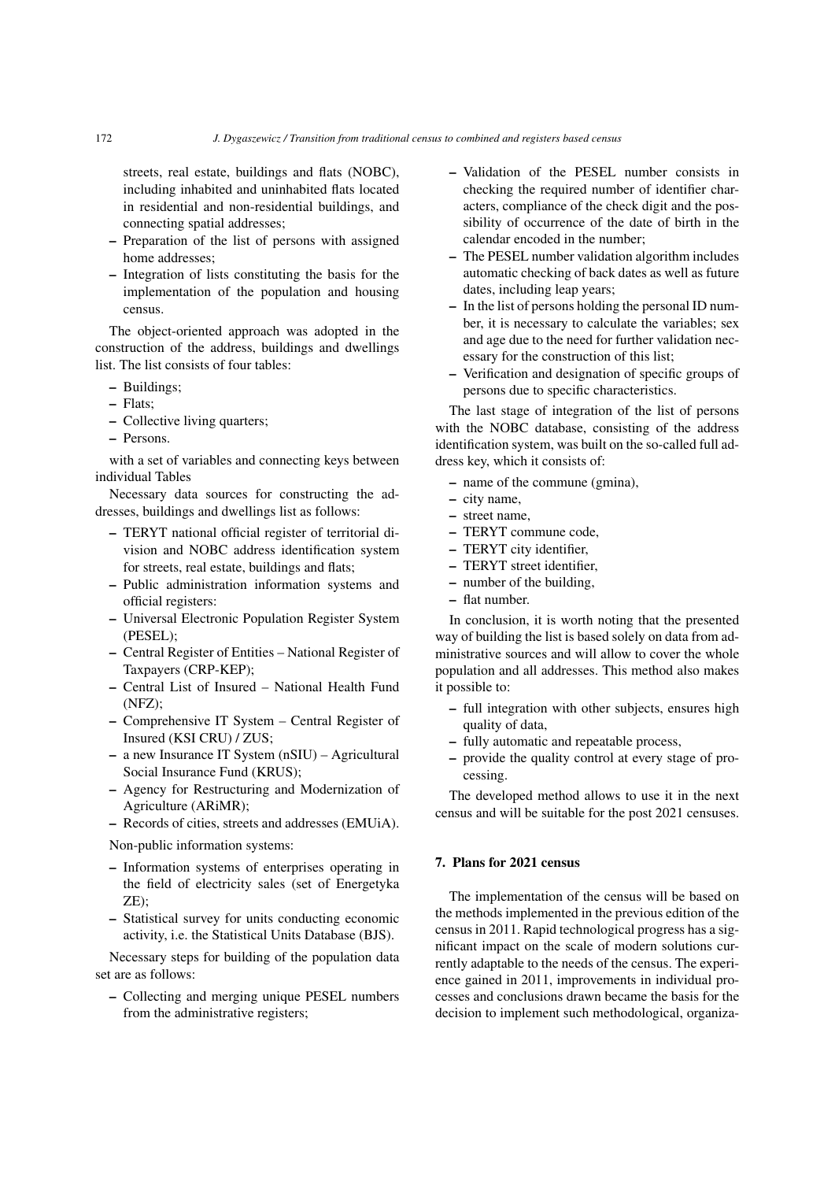streets, real estate, buildings and flats (NOBC), including inhabited and uninhabited flats located in residential and non-residential buildings, and connecting spatial addresses;

- Preparation of the list of persons with assigned home addresses;
- Integration of lists constituting the basis for the implementation of the population and housing census.

The object-oriented approach was adopted in the construction of the address, buildings and dwellings list. The list consists of four tables:

- Buildings;
- Flats;
- Collective living quarters;
- Persons.

with a set of variables and connecting keys between individual Tables

Necessary data sources for constructing the addresses, buildings and dwellings list as follows:

- TERYT national official register of territorial division and NOBC address identification system for streets, real estate, buildings and flats;
- Public administration information systems and official registers:
- Universal Electronic Population Register System (PESEL);
- Central Register of Entities National Register of Taxpayers (CRP-KEP);
- Central List of Insured National Health Fund (NFZ);
- Comprehensive IT System Central Register of Insured (KSI CRU) / ZUS;
- a new Insurance IT System (nSIU) Agricultural Social Insurance Fund (KRUS);
- Agency for Restructuring and Modernization of Agriculture (ARiMR);
- Records of cities, streets and addresses (EMUiA).

Non-public information systems:

- Information systems of enterprises operating in the field of electricity sales (set of Energetyka ZE);
- Statistical survey for units conducting economic activity, i.e. the Statistical Units Database (BJS).

Necessary steps for building of the population data set are as follows:

– Collecting and merging unique PESEL numbers from the administrative registers;

- Validation of the PESEL number consists in checking the required number of identifier characters, compliance of the check digit and the possibility of occurrence of the date of birth in the calendar encoded in the number;
- The PESEL number validation algorithm includes automatic checking of back dates as well as future dates, including leap years;
- In the list of persons holding the personal ID number, it is necessary to calculate the variables; sex and age due to the need for further validation necessary for the construction of this list;
- Verification and designation of specific groups of persons due to specific characteristics.

The last stage of integration of the list of persons with the NOBC database, consisting of the address identification system, was built on the so-called full address key, which it consists of:

- name of the commune (gmina),
- city name,
- street name,
- TERYT commune code,
- TERYT city identifier,
- TERYT street identifier,
- number of the building,
- flat number.

In conclusion, it is worth noting that the presented way of building the list is based solely on data from administrative sources and will allow to cover the whole population and all addresses. This method also makes it possible to:

- full integration with other subjects, ensures high quality of data,
- fully automatic and repeatable process,
- provide the quality control at every stage of processing.

The developed method allows to use it in the next census and will be suitable for the post 2021 censuses.

#### 7. Plans for 2021 census

The implementation of the census will be based on the methods implemented in the previous edition of the census in 2011. Rapid technological progress has a significant impact on the scale of modern solutions currently adaptable to the needs of the census. The experience gained in 2011, improvements in individual processes and conclusions drawn became the basis for the decision to implement such methodological, organiza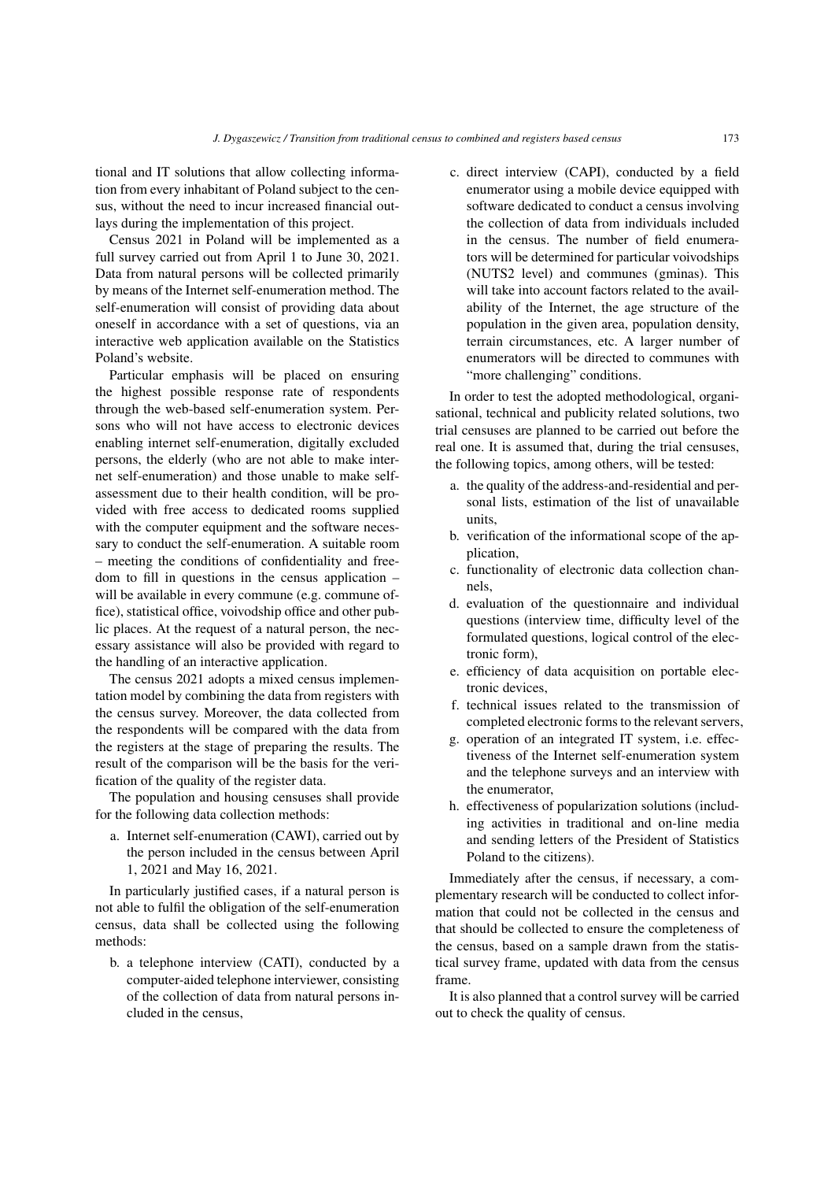tional and IT solutions that allow collecting information from every inhabitant of Poland subject to the census, without the need to incur increased financial outlays during the implementation of this project.

Census 2021 in Poland will be implemented as a full survey carried out from April 1 to June 30, 2021. Data from natural persons will be collected primarily by means of the Internet self-enumeration method. The self-enumeration will consist of providing data about oneself in accordance with a set of questions, via an interactive web application available on the Statistics Poland's website.

Particular emphasis will be placed on ensuring the highest possible response rate of respondents through the web-based self-enumeration system. Persons who will not have access to electronic devices enabling internet self-enumeration, digitally excluded persons, the elderly (who are not able to make internet self-enumeration) and those unable to make selfassessment due to their health condition, will be provided with free access to dedicated rooms supplied with the computer equipment and the software necessary to conduct the self-enumeration. A suitable room – meeting the conditions of confidentiality and freedom to fill in questions in the census application – will be available in every commune (e.g. commune office), statistical office, voivodship office and other public places. At the request of a natural person, the necessary assistance will also be provided with regard to the handling of an interactive application.

The census 2021 adopts a mixed census implementation model by combining the data from registers with the census survey. Moreover, the data collected from the respondents will be compared with the data from the registers at the stage of preparing the results. The result of the comparison will be the basis for the verification of the quality of the register data.

The population and housing censuses shall provide for the following data collection methods:

a. Internet self-enumeration (CAWI), carried out by the person included in the census between April 1, 2021 and May 16, 2021.

In particularly justified cases, if a natural person is not able to fulfil the obligation of the self-enumeration census, data shall be collected using the following methods:

b. a telephone interview (CATI), conducted by a computer-aided telephone interviewer, consisting of the collection of data from natural persons included in the census,

c. direct interview (CAPI), conducted by a field enumerator using a mobile device equipped with software dedicated to conduct a census involving the collection of data from individuals included in the census. The number of field enumerators will be determined for particular voivodships (NUTS2 level) and communes (gminas). This will take into account factors related to the availability of the Internet, the age structure of the population in the given area, population density, terrain circumstances, etc. A larger number of enumerators will be directed to communes with "more challenging" conditions.

In order to test the adopted methodological, organisational, technical and publicity related solutions, two trial censuses are planned to be carried out before the real one. It is assumed that, during the trial censuses, the following topics, among others, will be tested:

- a. the quality of the address-and-residential and personal lists, estimation of the list of unavailable units,
- b. verification of the informational scope of the application,
- c. functionality of electronic data collection channels,
- d. evaluation of the questionnaire and individual questions (interview time, difficulty level of the formulated questions, logical control of the electronic form),
- e. efficiency of data acquisition on portable electronic devices,
- f. technical issues related to the transmission of completed electronic forms to the relevant servers,
- g. operation of an integrated IT system, i.e. effectiveness of the Internet self-enumeration system and the telephone surveys and an interview with the enumerator,
- h. effectiveness of popularization solutions (including activities in traditional and on-line media and sending letters of the President of Statistics Poland to the citizens).

Immediately after the census, if necessary, a complementary research will be conducted to collect information that could not be collected in the census and that should be collected to ensure the completeness of the census, based on a sample drawn from the statistical survey frame, updated with data from the census frame.

It is also planned that a control survey will be carried out to check the quality of census.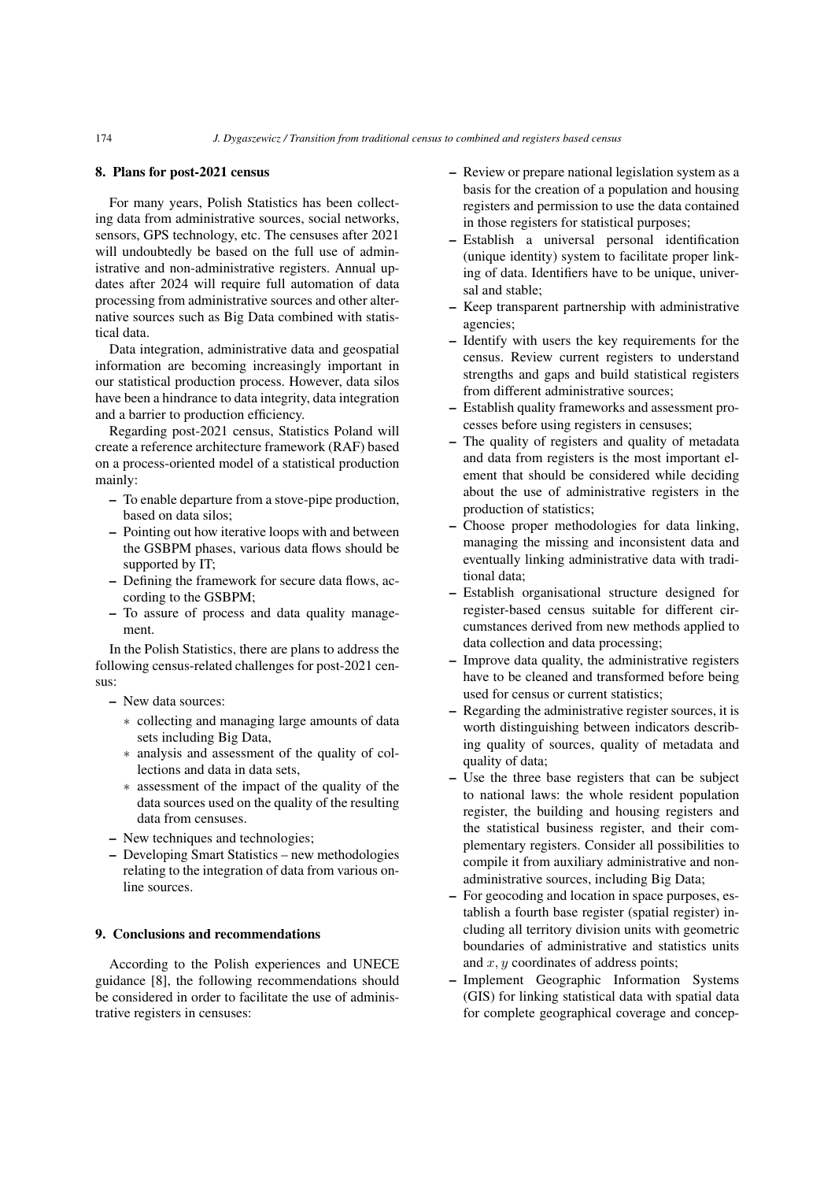#### 8. Plans for post-2021 census

For many years, Polish Statistics has been collecting data from administrative sources, social networks, sensors, GPS technology, etc. The censuses after 2021 will undoubtedly be based on the full use of administrative and non-administrative registers. Annual updates after 2024 will require full automation of data processing from administrative sources and other alternative sources such as Big Data combined with statistical data.

Data integration, administrative data and geospatial information are becoming increasingly important in our statistical production process. However, data silos have been a hindrance to data integrity, data integration and a barrier to production efficiency.

Regarding post-2021 census, Statistics Poland will create a reference architecture framework (RAF) based on a process-oriented model of a statistical production mainly:

- To enable departure from a stove-pipe production, based on data silos;
- Pointing out how iterative loops with and between the GSBPM phases, various data flows should be supported by IT;
- Defining the framework for secure data flows, according to the GSBPM;
- To assure of process and data quality management.

In the Polish Statistics, there are plans to address the following census-related challenges for post-2021 census:

- New data sources:
	- ∗ collecting and managing large amounts of data sets including Big Data,
	- ∗ analysis and assessment of the quality of collections and data in data sets,
	- ∗ assessment of the impact of the quality of the data sources used on the quality of the resulting data from censuses.
- New techniques and technologies;
- Developing Smart Statistics new methodologies relating to the integration of data from various online sources.

## 9. Conclusions and recommendations

According to the Polish experiences and UNECE guidance [8], the following recommendations should be considered in order to facilitate the use of administrative registers in censuses:

- Review or prepare national legislation system as a basis for the creation of a population and housing registers and permission to use the data contained in those registers for statistical purposes;
- Establish a universal personal identification (unique identity) system to facilitate proper linking of data. Identifiers have to be unique, universal and stable;
- Keep transparent partnership with administrative agencies;
- Identify with users the key requirements for the census. Review current registers to understand strengths and gaps and build statistical registers from different administrative sources;
- Establish quality frameworks and assessment processes before using registers in censuses;
- The quality of registers and quality of metadata and data from registers is the most important element that should be considered while deciding about the use of administrative registers in the production of statistics;
- Choose proper methodologies for data linking, managing the missing and inconsistent data and eventually linking administrative data with traditional data;
- Establish organisational structure designed for register-based census suitable for different circumstances derived from new methods applied to data collection and data processing;
- Improve data quality, the administrative registers have to be cleaned and transformed before being used for census or current statistics;
- Regarding the administrative register sources, it is worth distinguishing between indicators describing quality of sources, quality of metadata and quality of data;
- Use the three base registers that can be subject to national laws: the whole resident population register, the building and housing registers and the statistical business register, and their complementary registers. Consider all possibilities to compile it from auxiliary administrative and nonadministrative sources, including Big Data;
- For geocoding and location in space purposes, establish a fourth base register (spatial register) including all territory division units with geometric boundaries of administrative and statistics units and  $x, y$  coordinates of address points;
- Implement Geographic Information Systems (GIS) for linking statistical data with spatial data for complete geographical coverage and concep-